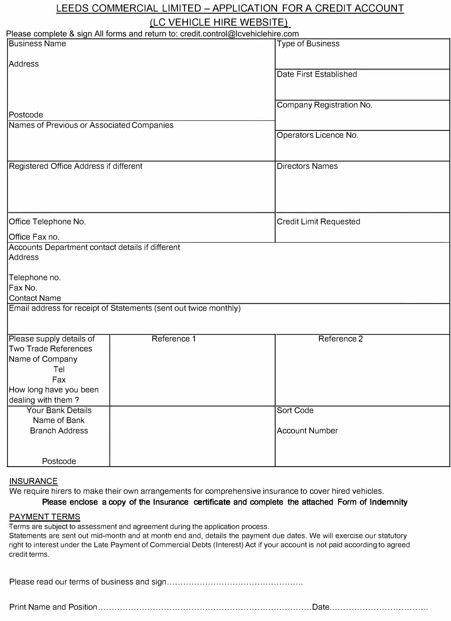# LEEDS COMMERCIAL LIMITED - APPLICATION FOR A CREDIT ACCOUNT

## (LC VEHICLE HIRE WEBSITE)

| Please complete & sign All forms and return to: credit.control@lcvehiclehire.com |                               |  |
|----------------------------------------------------------------------------------|-------------------------------|--|
| <b>Business Name</b>                                                             | Type of Business              |  |
|                                                                                  |                               |  |
| Address                                                                          |                               |  |
|                                                                                  | Date First Established        |  |
|                                                                                  |                               |  |
|                                                                                  |                               |  |
| Postcode                                                                         | Company Registration No.      |  |
| Names of Previous or Associated Companies                                        |                               |  |
|                                                                                  | Operators Licence No.         |  |
|                                                                                  |                               |  |
|                                                                                  |                               |  |
| Registered Office Address if different                                           | <b>Directors Names</b>        |  |
|                                                                                  |                               |  |
|                                                                                  |                               |  |
|                                                                                  |                               |  |
|                                                                                  |                               |  |
| Office Telephone No.                                                             | <b>Credit Limit Requested</b> |  |
|                                                                                  |                               |  |
| Office Fax no.                                                                   |                               |  |
| Accounts Department contact details if different                                 |                               |  |
| Address                                                                          |                               |  |
|                                                                                  |                               |  |
| Telephone no.                                                                    |                               |  |
| Fax No.<br><b>Contact Name</b>                                                   |                               |  |
| Email address for receipt of Statements (sent out twice monthly)                 |                               |  |
|                                                                                  |                               |  |
|                                                                                  |                               |  |
| Reference 1<br>Please supply details of                                          | Reference 2                   |  |
| Two Trade References                                                             |                               |  |
| Name of Company                                                                  |                               |  |
| Tel                                                                              |                               |  |
| Fax                                                                              |                               |  |
| How long have you been                                                           |                               |  |
| dealing with them?                                                               |                               |  |
| Your Bank Details                                                                | Sort Code                     |  |
| Name of Bank                                                                     |                               |  |
| <b>Branch Address</b>                                                            | <b>Account Number</b>         |  |
|                                                                                  |                               |  |
|                                                                                  |                               |  |
| Postcode                                                                         |                               |  |

### **INSURANCE**

We require hirers to make their own arrangements for comprehensive insurance to cover hired vehicles.

### Please enclose a copy of the Insurance certificate and complete the attached Form of Indemnity

### PAYMENT TERMS

Terms are subject to assessment and agreement during the application process.

Statements are sent out mid-month and at month end and, details the payment due dates. We will exercise our statutory right to interest under the Late Payment of Commercial Debts (Interest) Act if your account is not paid according to agreed credit terms.

Please read our terms of business and sign ................................................. .

Print Name and Position .............................................................................. Date ................................... .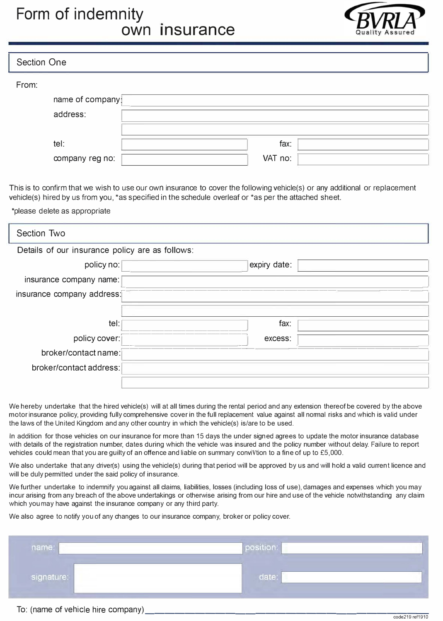# **Form of indemnity own insurance**



| <b>Section One</b> |         |
|--------------------|---------|
| From:              |         |
| name of company    |         |
| address:           |         |
|                    |         |
| tel:               | fax:    |
| company reg no:    | VAT no: |

This is to confirm that we wish to use our own insurance to cover the following vehicle(s) or any additional or replacement vehicle(s) hired by us from you, \*as specified in the schedule overleaf or \*as per the attached sheet.

\*please delete as appropriate

| Section Two                                     |              |  |
|-------------------------------------------------|--------------|--|
| Details of our insurance policy are as follows: |              |  |
| policy no:                                      | expiry date: |  |
| insurance company name:                         |              |  |
| insurance company address:                      |              |  |
|                                                 |              |  |
| tel:                                            | fax:         |  |
| policy cover:                                   | excess:      |  |
| broker/contact name:                            |              |  |
| broker/contact address:                         |              |  |
|                                                 |              |  |

We hereby undertake that the hired vehicle(s) will at all times during the rental period and any extension thereof be covered by the above motor insurance policy, providing fully comprehensive cover in the full replacement value against all normal risks and which is valid under the laws of the United Kingdom and any other country in which the vehicle(s) is/are to be used.

In addition for those vehicles on our insurance for more than 15 days the under signed agrees to update the motor insurance database with details of the registration number, dates during which the vehicle was insured and the policy number without delay. Failure to report vehicles could mean that you are guilty of an offence and liable on summary conviVtion to a fine of up to £5,000.

We also undertake that any driver(s) using the vehicle(s) during that period will be approved by us and will hold a valid current licence and will be duly permitted under the said policy of insurance.

We further undertake to indemnify you against all claims, liabilities, losses (including loss of use), damages and expenses which you may incur arising from any breach of the above undertakings or otherwise arising from our hire and use of the vehicle notwithstanding any claim which you may have against the insurance company or any third party.

We also agree to notify you of any changes to our insurance company, broker or policy cover.

| name:      | position: |  |
|------------|-----------|--|
| signature: | date:     |  |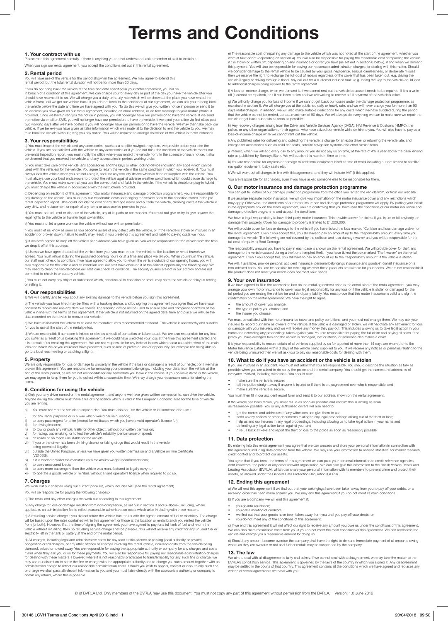# **Terms and Conditions**

### **1. Your contract with us**

Phease read this anything you do not understand, ask a member of staff to explain it. When you sign our rental agreement, you accept the conditions set out in this rental agreement.

### **2. Rental period**

You will have use of the vehicle for the period shown in the agreement. We may agree to extend this rental period, but the total rental duration will not be for more than 30 days.

If you do not bring back the vehicle at the time and date specified in your rental agreement, you will be

in breach of a condition of this agreement. We can charge you for every day or part of the day you have the vehicle after you<br>should have returned it to us. We will charge you a daily or hourly rate (which will be shown at the vehicle before the date and time we have agreed with you. To do this we will give you written notice in person or send it to<br>an address you have given on our rental agreement, including an email address, or via text me the notice via email or SMS, you will no longer have our permission to have the vehicle. If we send you notice via first class post, two working days after we have posted it you will no longer have our permission to have the vehicle. We may then take back our<br>vehicle. If we believe you have given us false information which was material to the decision t

### **3. Your responsibilities**

a) You must inspect the vehicle and any accessories, such as a satellite navigation system, we provide before you take the<br>vehicle. If you are not satisfied with the vehicle or any accessories or if you do not think the co pre-rental inspection report, you must notify the office where you rented the vehicle from. In the absence of such notice, it shall<br>be deemed that you received the vehicle and any accessories in perfect working order.

b) You must take care of the vehicle, any accessories and the keys or other locking device (including any apps which can be used with the vehicles) for the vehicle. You agree to return the vehicle in the same condition in which you received it. You must<br>always lock the vehicle when you are not using it, and use any security device which is fitt you must charge the vehicle in accordance with the instructions provided.

c) Depending on section 8 of this agreement ('Our motor insurance and damage protection programme'), you are responsible for<br>any damage to the vehicle. You must pay our reasonable costs for bringing the vehicle back to the very dirty, and replacement or repair of any items or accessories provided to you.

d) You must not sell, rent or dispose of the vehicle, any of its parts or accessories. You must not give or try to give anyone the legal rights to the vehicle or transfer legal ownership.

e) You must not let anyone work on the vehicle without our written permis

f) You must let us know as soon as you become aware of any defect with the vehicle, or if the vehicle is stolen or involved in an accident or broken down. Failure to notify may result in you breaking this agreement and liable to paying costs we incur.

g) If we have agreed to drop off the vehicle at an address you have given us, you will be responsible for the vehicle from the time drop it off at this address.

h) Unless we have agreed to collect the vehicle from you, you must return the vehicle to the location or rental branch we agreed. You must return it during the published opening hours or at a time and place we tell you. When you return the vehicle,<br>our staff must check its condition. If we have agreed to allow you to return the vehicle outsid permitted to check in or out any vehicle.

i) You must not carry any object or substance which, because of its condition or smell, may harm the vehicle or delay us renting or selling it.

### **4. Our responsibilities**

a) We will identify and tell you about any existing damage to the vehicle before you sign this agreement.

b) The vehicle you have hired may be fitted with a tracking device, and by signing this agreement you agree that we have your consent to record and use any data we collect. The tracking device will be used to ensure safe and compliant operation of the<br>vehicle in line with the terms of this agreement. If the vehicle is not returned on the agreed d

c) We have maintained the vehicle to at least the manufacturer's recommended standard. The vehicle is roadworthy and suitable for you to use at the start of the rental period.

d) We are responsible if someone is injured or dies as a result of our action or failure to act. We are also responsible for any loss you suffer as a result of us breaking this agreement, if we could have predicted your loss at the time this agreement started and<br>it is a result of us breaking this agreement. We are not responsible for any indirect losses loss and which we or you could not have predicted, such as loss of profits or loss of opportunity (for example not being able to go to a business meeting or catching a flight).

### **5. Property**

We are only responsible for loss or damage to property in the vehicle if the loss or damage is a result of our neglect or if we have broken this agreement. You are responsible for removing your personal belongings, including your data, from the vehicle at the<br>end of the rental period, as we are not responsible for any items/data you leave in the vehicle

### **6. Conditions for using the vehicle**

a) Only you, any driver named on the rental agreement, and anyone we have given written permission to, can drive the vehicle.<br>Anyone driving the vehicle must have a full driving licence which is valid in the European Econo

b) You must not rent the vehicle to anyone else. You must also not use the vehicle or let someone else use it:

- i) for any illegal purposes or in a way which would cause nuisance;<br>ii) to carry passengers for a fee (except for minibuses which you have a valid operator's licence for);<br>iii) for driving lessons;
- 
- iv) to tow or push any vehicle, trailer or other object, without our written permission;
- v) for racing, pacemaking, or to test the vehicle's reliability, performance or speed; vi) off roads or on roads unsuitable for the vehicle;
- vij if you or the driver has been drinking alcohol or taking drugs that would result in the vehicle
- being operated illegally;
- viii) outside the United Kingdom, unless we have given you written permission and a Vehicle on Hire Certificate (VE103B);
- ix) if it is loaded beyond the manufacturer's maximum weight recommendations; x) to carry unsecured loads;
- 
- xi) to carry more passengers than the vehicle was manufactured to legally carry; or<br>xii) to operate a goods vehicle or minibus without a valid operator's licence when re to operate a goods vehicle or minibus without a valid operator's licence when required to do so.

### **7. Charges**

work out our charges using our current price list, which includes VAT (see the rental agreement).

You will be responsible for paying the following charges:

a) The rental and any other charges we work out according to this agreement.

b) Any charge for loss or damage resulting from non-compliance, as set out in section 3 and 6 (above), including, where<br>applicable, an administration fee to reflect reasonable administration costs which arise in dealing wi

c) A refuelling service charge if you did not return the vehicle back to us with the agreed amount of fuel or electricity. The charge will be based upon the rates contained within this agreement or those at the location or rental branch you rented the vehicle from (or both). However, if at the time of signing the agreement, you have agreed to pay for a full tank of fuel and return the<br>vehicle without refuelling, then no refuelling service charge shall be payable. You will not r

d) All charges, including legal and administrative costs for any road-traffic offence or parking (local authority or private), congestion or toll charges, or any other offence or charges involving the rental vehicle, including costs from the vehicle being<br>clamped, seized or towed away. You are responsible for paying the appropriate authority or co for dealing with these matters. However, where it is not reasonably practicable to transfer liability for any such fine or charge, we may use our discretion to settle the fine or charge with the appropriate authority and re-charge you such amount together with an<br>administration charge to reflect our reasonable administration costs. Should you wish to app or charge we shall pass all relevant information to you and you must liaise directly with the appropriate authority or company to obtain any refund, where this is possible.

e) The reasonable cost of repairing any damage to the vehicle which was not noted at the start of the agreement, whether you<br>were at fault or not (depending on section 4). You will also be responsible for paying the reason we consider damage to the rental vehicle to be caused by your gross negligence, serious carelessness, or deliberate misuse,<br>then we reserve the right to recharge the full cost of repairs regardless of the cover that has be to additional charges being applied to the rental agreement.

f) A loss-of-income charge, when we demand it, if we cannot rent out the vehicle because it needs to be repaired, if it is a writeoff (it cannot be repaired), or if it has been stolen and we are waiting to receive a full payment of the vehicle's value.

g) We will only charge you for loss of income if we cannot get back our losses under the damage protection programme, as<br>explained in section 8. We will charge you at the published daily or hourly rate, and we will never c days rental charges. In addition, we will also make suitable deductions for any costs which we have avoided during the period that the vehicle cannot be rented, up to a maximum of 90 days. We will always do everything we can to make sure we repair the vehicle or get back our costs as soon as possible.

h) Any recovery charges arising from the Driver and Vehicle Services Agency (DVSA), HM Revenue & Customs (HMRC), the police, or any other organisation or their agents, who have seized our vehicle while on hire to you. You will also have to pay us a loss-of-income charge while we cannot rent out the vehicle.

i) Any published rates for delivering and collecting the vehicle, a charge for an extra driver or returning the vehicle late, and charges for accessories such as child car seats, satellite navigation systems and other similar items.

j) Interest, which we will add every day to any amount you do not pay us on time, at the rate of 4% a year above the base lending rate as published by Barclays Bank. We will publish this rate from time to time.

k) You are responsible for any loss or damage to additional equipment hired at time of rental including but not limited to satellite navigation equipment, baby seats etc.

l) We will work out all charges in line with this agreement, and they will include VAT (if this applies). You are responsible for all charges, even if you have asked someone else to be responsible for them.

### **8. Our motor insurance and damage protection programme**  You can get full details of our damage protection programme from the office you rented the vehicle from, or from our website.

If we arrange separate motor insurance, we will give you information on the motor insurance cover and any restrictions which may apply. Otherwise, the conditions of our motor insurance and damage protection programme will apply. By putting your initials in the appropriate box on the rental agreement, you are confirming that you have read the conditions of our motor insurance and damage protection programme and accept the conditions.

We have a legal responsibility to have third-party motor insurance. This provides cover for claims if you injure or kill anybody, o damage their property. Cover for damage to property is limited to £1,000,000.

We will provide cover for loss or damage to the vehicle if you have ticked the box marked 'Collision and loss damage waiver' on<br>the rental agreement. Even if you accept this, you still have to pay an amount up to the 'resp full cost of repair: 1) Roof Damage

The responsibility amount you have to pay in each case is shown on the rental agreement. We will provide cover for theft and damage to the vehicle caused during a theft or attempted theft, if you have ticked the box marked "Theft waiver" on the rental<br>agreement. Even if you accept this, you still have to pay an amount up to the 'responsibility a We will, if available, provide personal accident insurance, personal belongings insurance and goods-in-transit insurance on a

non-advised basis. You are responsible for deciding whether these products are suitable for your needs. We are not responsible if the product does not meet your needs.does not meet your needs.

### **9. Your own insurance**

If we have agreed to fill in the appropriate box on the rental agreement prior to the conclusion of the rental agreement, you may<br>arrange your own motor insurance to cover your legal responsibility for any loss or if the v full period you are renting the vehicle for and third party liability. You must prove that this motor insurance is valid and sign the confirmation on the rental agreement. We have the right to agree:

- the amount of cover you arrange
- the type of policy you choose; and the insurer you choose

We must be satisfied with the motor insurance cover and policy conditions, and you must not change them. We may ask your<br>insurers to record our name as owners of the vehicle. If the vehicle is damaged or stolen, we will ne name and defending any proceedings taken against you. You are responsible for paying the full claim and paying all costs if the<br>policy you have arranged fails and the vehicle is damaged, lost or stolen, or someone else mak

It is your responsibility to ensure details of all vehicles supplied by us for a period of more than 14 days are entered onto the<br>Motor Insurance Database within 3 days of the vehicle being supplied to you. If we receive a vehicle being uninsured then we will ask you to pay our reasonable costs for dealing with them.

### **10. What to do if you have an accident or the vehicle is stolen <br>If you are involved in an accident, you must not admit that you are responsible. You should describe the situation as fully as**

If you are involved in an accident, you must not admit that you are responsible. You should describe the situation as fully as<br>possible when you are asked to do so by the police and the rental company. You should get the n everyone involved, including witnesses. You should also:

• make sure the vehicle is secure;

• tell the police straight away if anyone is injured or if there is a disagreement over who is responsible; and • make sure the vehicle is secure;

You must then fill in our accident report form and send it to our address shown on the rental agreement.

If the vehicle has been stolen, you must tell us as soon as possible and confirm this in writing as soon as reasonably possible. You or any authorised drivers will also need to:

- 
- get the names and addresses of any witnesses and give them to us; send us any notices or other documents relating to any legal proceedings arising out of the theft or loss;
- help us and our insurers in any legal proceedings, including allowing us to take legal action in your name and
- defending any legal action taken against you; and give us back all keys and report the theft or loss to the police as soon as reasonably possible.

### **11. Data protection**

By entering into this rental agreement you agree that we can process and store your personal information in connection with<br>this agreement including data collected from the vehicle. We may use your information to analyse s

You agree that if you break the terms of this agreement we can pass your personal information to credit-reference agencies, debt collectors, the police or any other relevant organisation. We can also give this information to the British Vehicle Rental and<br>Leasing Association (BVRLA), which can share your personal information with its members to

### **12. Ending this agreement**

a) We will end this agreement if we find out that your belongings have been taken away from you to pay off your debts, or a receiving order has been made against you. We may end this agreement if you do not meet its main conditions.

b) If you are a company, we will end this agreement if:

- you go into liquidation;
- you call a meeting of creditors;
- we find out that your goods have been taken away from you until you pay off your debts; or you do not meet any of the conditions of this agreement.

c) If we end this agreement it will not affect our right to receive any amount you owe us under the conditions of this agreement.<br>We can also claim reasonable costs from you if you do not meet the main conditions of this a vehicle and charge you a reasonable amount for doing so.

d) Should any amount become overdue the company shall have the right to demand immediate payment of all amounts owing where as they are overdue or not and further rentals may be suspended by the company.

### **13. The law**

......<br>Tho deal with all disagreements fairly and calmly. If we cannot deal with a disagreement, we may take the matter to the BVRLA's conciliation service. This agreement is governed by the laws of the country in which you signed it. Any disagreement<br>may be settled in the courts of that country. This agreement contains all the conditions which we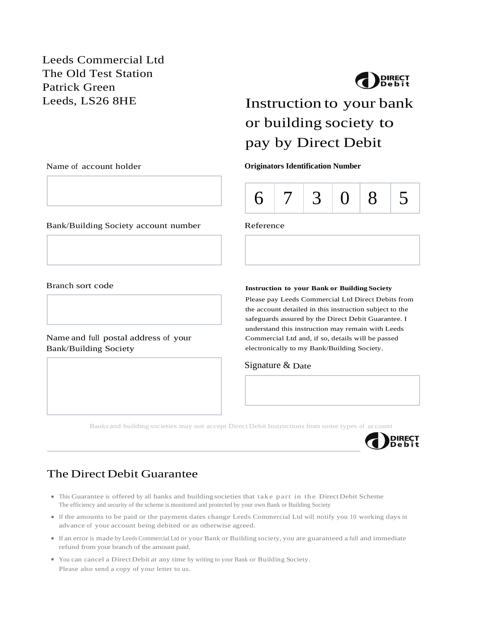Leeds Commercial Ltd The Old Test Station Patrick Green



# Leeds, LS26 8HE Instruction to your bank or building society to pay by Direct Debit

Name of account holder **Originators Identification Number**



Bank/Building Society account number Reference

Branch sort code

### Name and full postal address of your Bank/Building Society

**Instruction to your Bank or Building Society** 

Please pay Leeds Commercial Ltd Direct Debits from the account detailed in this instruction subject to the safeguards assured by the Direct Debit Guarantee. I understand this instruction may remain with Leeds Commercial Ltd and, if so, details will be passed electronically to my Bank/Building Society.

### Signature & Date

Banks and building societies may not accept DirectDebit Instructions from some types of account



## The Direct Debit Guarantee

- This Guarantee is offered by all banks and building societies that take part in the Direct Debit Scheme The efficiency and security of the scheme is monitored and protected by your own Bank or Building Society
- If the amounts to be paid or the payment dates change Leeds Commercial Ltd will notify you 10 working days in advance of your account being debited or as otherwise agreed.
- If an error is made by Leeds Commercial Ltd or your Bank or Building society, you are guaranteed a full and immediate refund from your branch of the amount paid.
- You can cancel a DirectDebit at any time by writing to your Bank or Building Society. Please also send a copy of your letter to us.